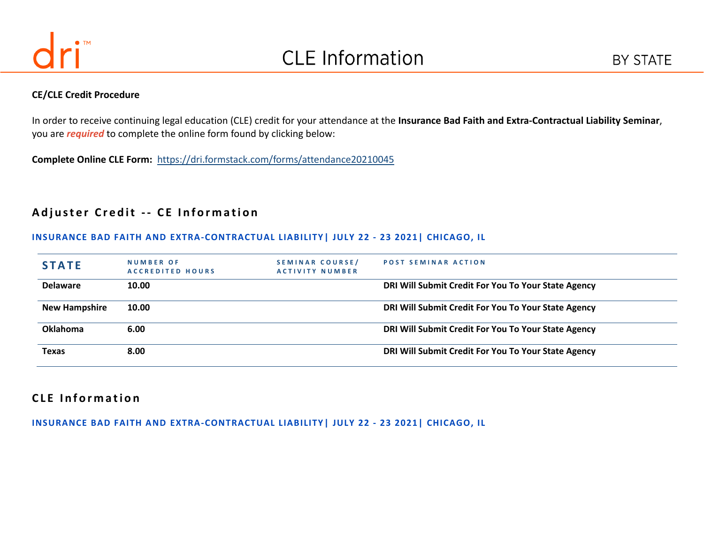

#### **CE/CLE Credit Procedure**

In order to receive continuing legal education (CLE) credit for your attendance at the **Insurance Bad Faith and Extra-Contractual Liability Seminar**, you are *required* to complete the online form found by clicking below:

**Complete Online CLE Form:** <https://dri.formstack.com/forms/attendance20210045>

# **Adjuster Credit -- CE Information**

#### **INSURANCE BAD FAITH AND EXTRA-CONTRACTUAL LIABILITY| JULY 22 - 23 2021| CHICAGO, IL**

| <b>STATE</b>         | <b>NUMBER OF</b><br><b>ACCREDITED HOURS</b> | SEMINAR COURSE/<br><b>ACTIVITY NUMBER</b> | <b>POST SEMINAR ACTION</b>                          |
|----------------------|---------------------------------------------|-------------------------------------------|-----------------------------------------------------|
| <b>Delaware</b>      | 10.00                                       |                                           | DRI Will Submit Credit For You To Your State Agency |
| <b>New Hampshire</b> | 10.00                                       |                                           | DRI Will Submit Credit For You To Your State Agency |
| <b>Oklahoma</b>      | 6.00                                        |                                           | DRI Will Submit Credit For You To Your State Agency |
| Texas                | 8.00                                        |                                           | DRI Will Submit Credit For You To Your State Agency |

# **C L E I n f o r m a t i o n**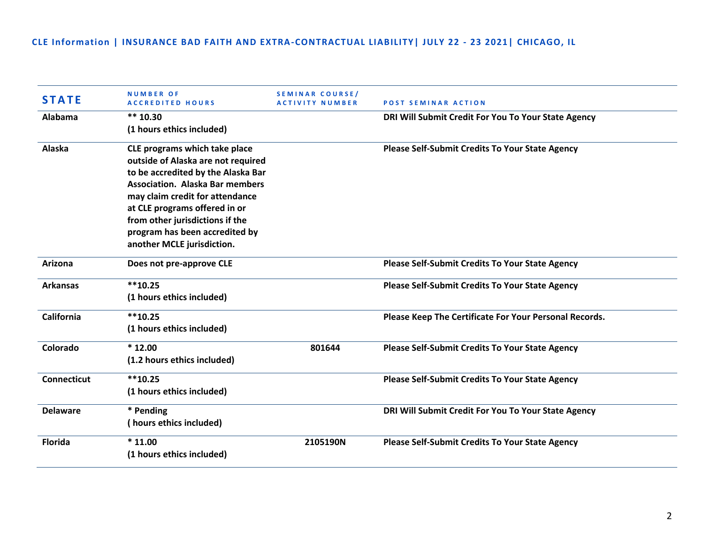| <b>STATE</b>       | <b>NUMBER OF</b><br><b>ACCREDITED HOURS</b> | SEMINAR COURSE/<br><b>ACTIVITY NUMBER</b> | <b>POST SEMINAR ACTION</b>                             |
|--------------------|---------------------------------------------|-------------------------------------------|--------------------------------------------------------|
| Alabama            | $** 10.30$                                  |                                           | DRI Will Submit Credit For You To Your State Agency    |
|                    | (1 hours ethics included)                   |                                           |                                                        |
| Alaska             | CLE programs which take place               |                                           | <b>Please Self-Submit Credits To Your State Agency</b> |
|                    | outside of Alaska are not required          |                                           |                                                        |
|                    | to be accredited by the Alaska Bar          |                                           |                                                        |
|                    | <b>Association. Alaska Bar members</b>      |                                           |                                                        |
|                    | may claim credit for attendance             |                                           |                                                        |
|                    | at CLE programs offered in or               |                                           |                                                        |
|                    | from other jurisdictions if the             |                                           |                                                        |
|                    | program has been accredited by              |                                           |                                                        |
|                    | another MCLE jurisdiction.                  |                                           |                                                        |
| Arizona            | Does not pre-approve CLE                    |                                           | <b>Please Self-Submit Credits To Your State Agency</b> |
| <b>Arkansas</b>    | $**10.25$                                   |                                           | <b>Please Self-Submit Credits To Your State Agency</b> |
|                    | (1 hours ethics included)                   |                                           |                                                        |
| <b>California</b>  | $**10.25$                                   |                                           | Please Keep The Certificate For Your Personal Records. |
|                    | (1 hours ethics included)                   |                                           |                                                        |
| Colorado           | $*12.00$                                    | 801644                                    | <b>Please Self-Submit Credits To Your State Agency</b> |
|                    | (1.2 hours ethics included)                 |                                           |                                                        |
| <b>Connecticut</b> | $**10.25$                                   |                                           | <b>Please Self-Submit Credits To Your State Agency</b> |
|                    | (1 hours ethics included)                   |                                           |                                                        |
| <b>Delaware</b>    | * Pending                                   |                                           | DRI Will Submit Credit For You To Your State Agency    |
|                    | (hours ethics included)                     |                                           |                                                        |
| <b>Florida</b>     | $*11.00$                                    | 2105190N                                  | <b>Please Self-Submit Credits To Your State Agency</b> |
|                    | (1 hours ethics included)                   |                                           |                                                        |
|                    |                                             |                                           |                                                        |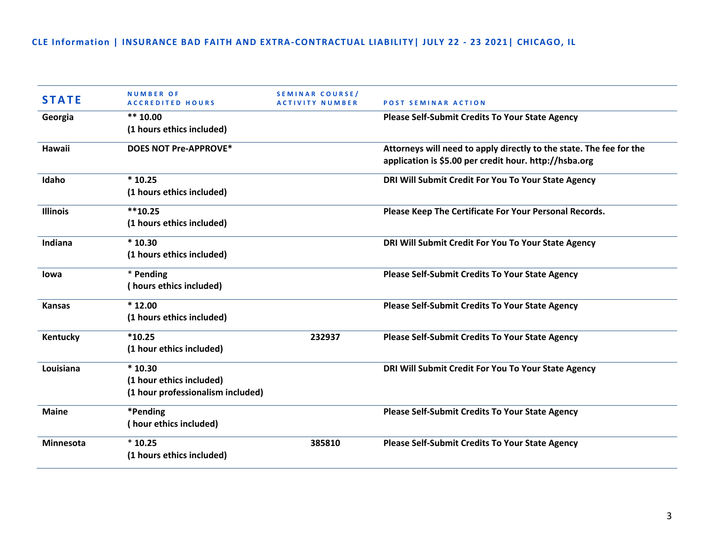| <b>STATE</b>     | <b>NUMBER OF</b><br><b>ACCREDITED HOURS</b> | <b>SEMINAR COURSE/</b><br><b>ACTIVITY NUMBER</b> | <b>POST SEMINAR ACTION</b>                                          |
|------------------|---------------------------------------------|--------------------------------------------------|---------------------------------------------------------------------|
| Georgia          | $** 10.00$                                  |                                                  | <b>Please Self-Submit Credits To Your State Agency</b>              |
|                  | (1 hours ethics included)                   |                                                  |                                                                     |
| Hawaii           | <b>DOES NOT Pre-APPROVE*</b>                |                                                  | Attorneys will need to apply directly to the state. The fee for the |
|                  |                                             |                                                  | application is \$5.00 per credit hour. http://hsba.org              |
| Idaho            | $*10.25$                                    |                                                  | DRI Will Submit Credit For You To Your State Agency                 |
|                  | (1 hours ethics included)                   |                                                  |                                                                     |
| <b>Illinois</b>  | $**10.25$                                   |                                                  | Please Keep The Certificate For Your Personal Records.              |
|                  | (1 hours ethics included)                   |                                                  |                                                                     |
| Indiana          | $*10.30$                                    |                                                  | DRI Will Submit Credit For You To Your State Agency                 |
|                  | (1 hours ethics included)                   |                                                  |                                                                     |
| lowa             | * Pending                                   |                                                  | <b>Please Self-Submit Credits To Your State Agency</b>              |
|                  | (hours ethics included)                     |                                                  |                                                                     |
| <b>Kansas</b>    | $*12.00$                                    |                                                  | <b>Please Self-Submit Credits To Your State Agency</b>              |
|                  | (1 hours ethics included)                   |                                                  |                                                                     |
| Kentucky         | $*10.25$                                    | 232937                                           | <b>Please Self-Submit Credits To Your State Agency</b>              |
|                  | (1 hour ethics included)                    |                                                  |                                                                     |
| Louisiana        | $*10.30$                                    |                                                  | DRI Will Submit Credit For You To Your State Agency                 |
|                  | (1 hour ethics included)                    |                                                  |                                                                     |
|                  | (1 hour professionalism included)           |                                                  |                                                                     |
| <b>Maine</b>     | *Pending                                    |                                                  | <b>Please Self-Submit Credits To Your State Agency</b>              |
|                  | (hour ethics included)                      |                                                  |                                                                     |
| <b>Minnesota</b> | $*10.25$                                    | 385810                                           | <b>Please Self-Submit Credits To Your State Agency</b>              |
|                  | (1 hours ethics included)                   |                                                  |                                                                     |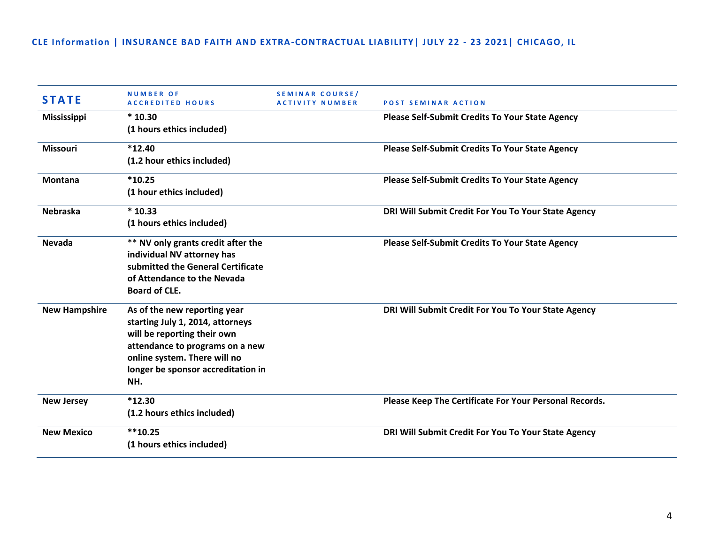| <b>STATE</b>         | <b>NUMBER OF</b><br><b>ACCREDITED HOURS</b>                                                                                                                                                                     | <b>SEMINAR COURSE/</b><br><b>ACTIVITY NUMBER</b> | <b>POST SEMINAR ACTION</b>                             |
|----------------------|-----------------------------------------------------------------------------------------------------------------------------------------------------------------------------------------------------------------|--------------------------------------------------|--------------------------------------------------------|
| <b>Mississippi</b>   | $*10.30$<br>(1 hours ethics included)                                                                                                                                                                           |                                                  | <b>Please Self-Submit Credits To Your State Agency</b> |
| <b>Missouri</b>      | $*12.40$<br>(1.2 hour ethics included)                                                                                                                                                                          |                                                  | <b>Please Self-Submit Credits To Your State Agency</b> |
| <b>Montana</b>       | $*10.25$<br>(1 hour ethics included)                                                                                                                                                                            |                                                  | <b>Please Self-Submit Credits To Your State Agency</b> |
| <b>Nebraska</b>      | $*10.33$<br>(1 hours ethics included)                                                                                                                                                                           |                                                  | DRI Will Submit Credit For You To Your State Agency    |
| Nevada               | ** NV only grants credit after the<br>individual NV attorney has<br>submitted the General Certificate<br>of Attendance to the Nevada<br><b>Board of CLE.</b>                                                    |                                                  | <b>Please Self-Submit Credits To Your State Agency</b> |
| <b>New Hampshire</b> | As of the new reporting year<br>starting July 1, 2014, attorneys<br>will be reporting their own<br>attendance to programs on a new<br>online system. There will no<br>longer be sponsor accreditation in<br>NH. |                                                  | DRI Will Submit Credit For You To Your State Agency    |
| <b>New Jersey</b>    | $*12.30$<br>(1.2 hours ethics included)                                                                                                                                                                         |                                                  | Please Keep The Certificate For Your Personal Records. |
| <b>New Mexico</b>    | $**10.25$<br>(1 hours ethics included)                                                                                                                                                                          |                                                  | DRI Will Submit Credit For You To Your State Agency    |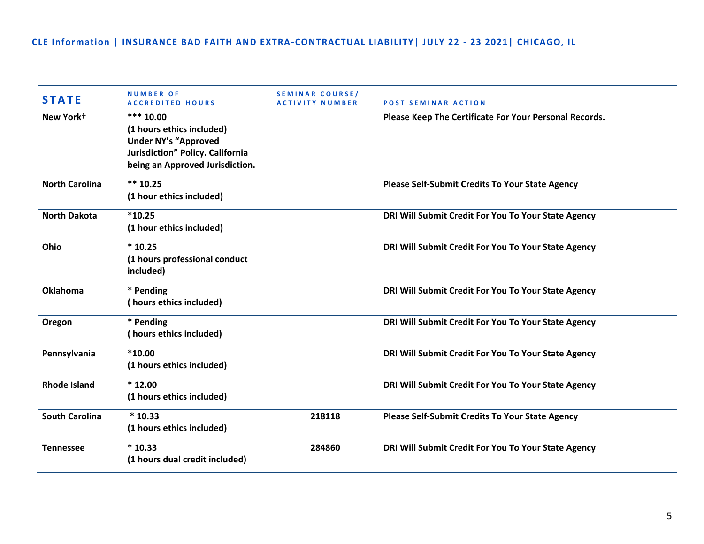| <b>STATE</b>          | <b>NUMBER OF</b><br><b>ACCREDITED HOURS</b>                                                                                                    | <b>SEMINAR COURSE/</b><br><b>ACTIVITY NUMBER</b> | <b>POST SEMINAR ACTION</b>                             |
|-----------------------|------------------------------------------------------------------------------------------------------------------------------------------------|--------------------------------------------------|--------------------------------------------------------|
| New York+             | *** $10.00$<br>(1 hours ethics included)<br><b>Under NY's "Approved</b><br>Jurisdiction" Policy. California<br>being an Approved Jurisdiction. |                                                  | Please Keep The Certificate For Your Personal Records. |
| <b>North Carolina</b> | $*** 10.25$<br>(1 hour ethics included)                                                                                                        |                                                  | <b>Please Self-Submit Credits To Your State Agency</b> |
| <b>North Dakota</b>   | $*10.25$<br>(1 hour ethics included)                                                                                                           |                                                  | DRI Will Submit Credit For You To Your State Agency    |
| Ohio                  | $*10.25$<br>(1 hours professional conduct<br>included)                                                                                         |                                                  | DRI Will Submit Credit For You To Your State Agency    |
| <b>Oklahoma</b>       | * Pending<br>(hours ethics included)                                                                                                           |                                                  | DRI Will Submit Credit For You To Your State Agency    |
| Oregon                | * Pending<br>(hours ethics included)                                                                                                           |                                                  | DRI Will Submit Credit For You To Your State Agency    |
| Pennsylvania          | $*10.00$<br>(1 hours ethics included)                                                                                                          |                                                  | DRI Will Submit Credit For You To Your State Agency    |
| <b>Rhode Island</b>   | $*12.00$<br>(1 hours ethics included)                                                                                                          |                                                  | DRI Will Submit Credit For You To Your State Agency    |
| <b>South Carolina</b> | $*10.33$<br>(1 hours ethics included)                                                                                                          | 218118                                           | Please Self-Submit Credits To Your State Agency        |
| <b>Tennessee</b>      | $*10.33$<br>(1 hours dual credit included)                                                                                                     | 284860                                           | DRI Will Submit Credit For You To Your State Agency    |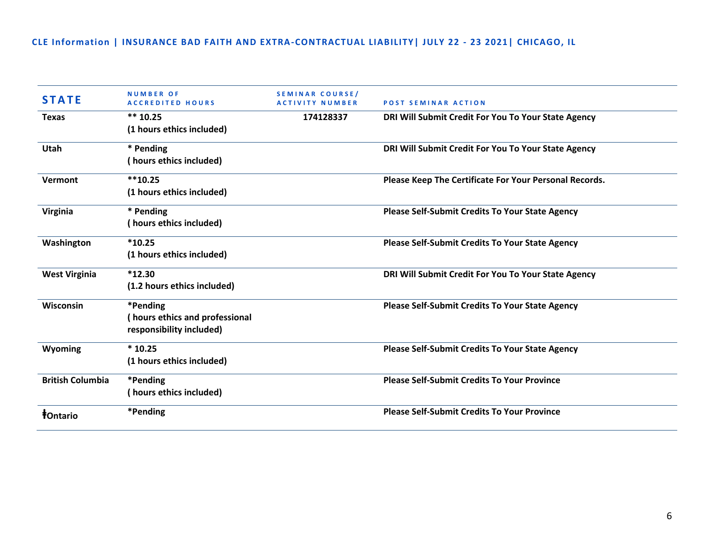| <b>STATE</b>                  | <b>NUMBER OF</b><br><b>ACCREDITED HOURS</b> | <b>SEMINAR COURSE/</b><br><b>ACTIVITY NUMBER</b> | <b>POST SEMINAR ACTION</b>                             |
|-------------------------------|---------------------------------------------|--------------------------------------------------|--------------------------------------------------------|
| <b>Texas</b>                  | $** 10.25$<br>(1 hours ethics included)     | 174128337                                        | DRI Will Submit Credit For You To Your State Agency    |
|                               |                                             |                                                  |                                                        |
| <b>Utah</b>                   | * Pending                                   |                                                  | DRI Will Submit Credit For You To Your State Agency    |
|                               | (hours ethics included)                     |                                                  |                                                        |
| Vermont                       | $**10.25$                                   |                                                  | Please Keep The Certificate For Your Personal Records. |
|                               | (1 hours ethics included)                   |                                                  |                                                        |
| Virginia                      | * Pending                                   |                                                  | <b>Please Self-Submit Credits To Your State Agency</b> |
|                               | (hours ethics included)                     |                                                  |                                                        |
| Washington                    | $*10.25$                                    |                                                  | <b>Please Self-Submit Credits To Your State Agency</b> |
|                               | (1 hours ethics included)                   |                                                  |                                                        |
| <b>West Virginia</b>          | $*12.30$                                    |                                                  | DRI Will Submit Credit For You To Your State Agency    |
|                               | (1.2 hours ethics included)                 |                                                  |                                                        |
| Wisconsin                     | *Pending                                    |                                                  | <b>Please Self-Submit Credits To Your State Agency</b> |
|                               | hours ethics and professional               |                                                  |                                                        |
|                               | responsibility included)                    |                                                  |                                                        |
| Wyoming                       | $*10.25$                                    |                                                  | <b>Please Self-Submit Credits To Your State Agency</b> |
|                               | (1 hours ethics included)                   |                                                  |                                                        |
| <b>British Columbia</b>       | *Pending                                    |                                                  | <b>Please Self-Submit Credits To Your Province</b>     |
|                               | (hours ethics included)                     |                                                  |                                                        |
| <b><i><u>‡Ontario</u></i></b> | *Pending                                    |                                                  | <b>Please Self-Submit Credits To Your Province</b>     |